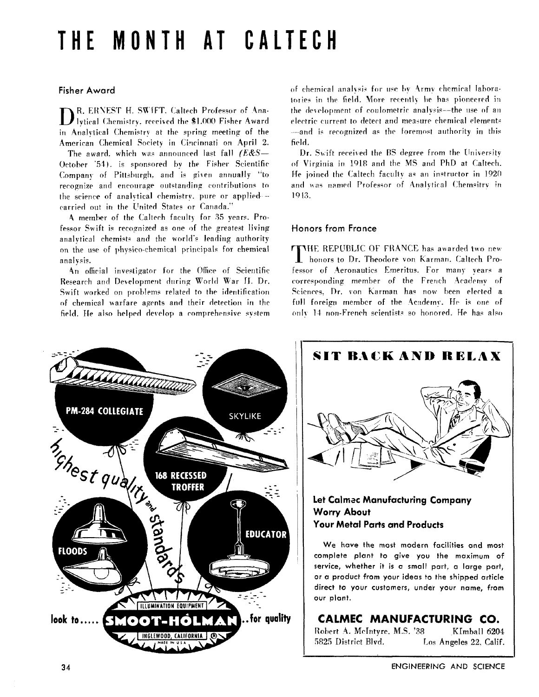# THE MONTH AT CALTECH

#### **Fisher Award**

R. ERNEST H. SWIFT. Caltech Professor of Ana-Ivtical Chemistry, received the \$1.000 Fisher Award in Analytical Chemistry at the spring meeting of the American Chemical Society in Cincinnati on April 2.

The award, which was announced last fall  $(ExS -$ October '54). is sponsored by the Fisher Scientific Company of Pittsburgh, and is given annually "to recognize and encourage outstanding contributions to the science of analytical chemistry, pure or applied-carried out in the United States or Canada."

A member of the Caltech faculty for 35 years. Professor Swift is recognized as one of the greatest living analytical chemists and the world's leading authority on the use of physico-chemical principals for chemical analysis.

An official investigator for the Office of Scientific Research and Development during World War II. Dr. Swift worked on problems related to the identification of chemical warfare agents and their detection in the field. He also helped develop a comprehensive system of chemical analysis for use by Army chemical Jaboratories in the field. More recently he has pioneered in the development of coulometric analysis--the use of an electric current to detect and measure chemical elements -and is recognized as the foremost authority in this field.

Dr. Swift received the BS degree from the University of Virginia in 1918 and the MS and PhD at Caltech. He joined the Caltech faculty as an instructor in 1920 and was named Professor of Analytical Chemsitry in 1943.

### **Honors from France**

**THE REPUBLIC OF FRANCE has awarded two new** honors to Dr. Theodore von Karman. Caltech Professor of Aeronautics Emeritus. For many vears a corresponding member of the French Academy of Sciences, Dr. von Karman has now been elected a full foreign member of the Academy. He is one of only 14 non-French scientists so honored. He has also



SIT BACK AND RELAX Let Calmec Manufacturing Company **Worry About Your Metal Parts and Products** 

We have the most modern facilities and most complete plant to give you the maximum of service, whether it is a small part, a large part, or a product from your ideas to the shipped article direct to your customers, under your name, from our plant.

## CALMEC MANUFACTURING CO.

Robert A. McIntyre, M.S. '38 KImball 6204 5825 District Blvd. Los Angeles 22, Calif.